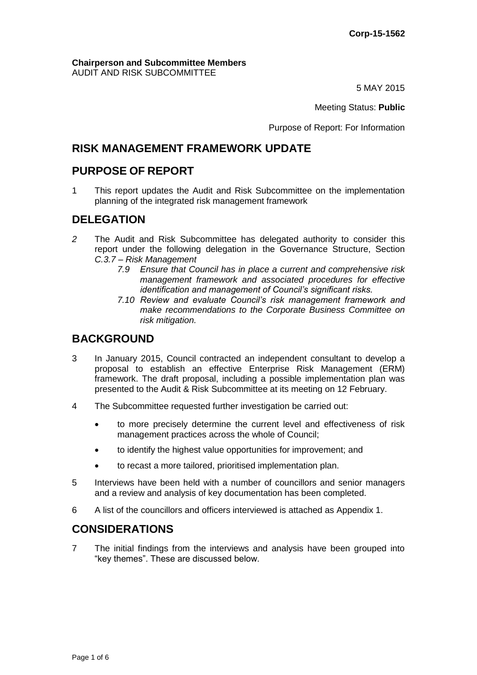#### **Chairperson and Subcommittee Members** AUDIT AND RISK SUBCOMMITTEE

5 MAY 2015

Meeting Status: **Public**

Purpose of Report: For Information

# **RISK MANAGEMENT FRAMEWORK UPDATE**

# **PURPOSE OF REPORT**

1 This report updates the Audit and Risk Subcommittee on the implementation planning of the integrated risk management framework

# **DELEGATION**

- *2* The Audit and Risk Subcommittee has delegated authority to consider this report under the following delegation in the Governance Structure, Section *C.3.7 – Risk Management*
	- *7.9 Ensure that Council has in place a current and comprehensive risk management framework and associated procedures for effective identification and management of Council's significant risks.*
	- *7.10 Review and evaluate Council's risk management framework and make recommendations to the Corporate Business Committee on risk mitigation.*

# **BACKGROUND**

- 3 In January 2015, Council contracted an independent consultant to develop a proposal to establish an effective Enterprise Risk Management (ERM) framework. The draft proposal, including a possible implementation plan was presented to the Audit & Risk Subcommittee at its meeting on 12 February.
- 4 The Subcommittee requested further investigation be carried out:
	- to more precisely determine the current level and effectiveness of risk management practices across the whole of Council;
	- to identify the highest value opportunities for improvement; and
	- to recast a more tailored, prioritised implementation plan.
- 5 Interviews have been held with a number of councillors and senior managers and a review and analysis of key documentation has been completed.
- 6 A list of the councillors and officers interviewed is attached as Appendix 1.

# **CONSIDERATIONS**

7 The initial findings from the interviews and analysis have been grouped into "key themes". These are discussed below.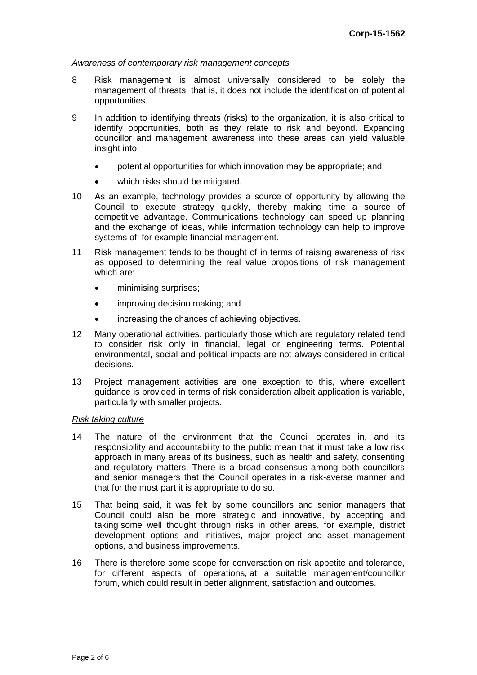## *Awareness of contemporary risk management concepts*

- 8 Risk management is almost universally considered to be solely the management of threats, that is, it does not include the identification of potential opportunities.
- 9 In addition to identifying threats (risks) to the organization, it is also critical to identify opportunities, both as they relate to risk and beyond. Expanding councillor and management awareness into these areas can yield valuable insight into:
	- potential opportunities for which innovation may be appropriate; and
	- which risks should be mitigated.
- 10 As an example, technology provides a source of opportunity by allowing the Council to execute strategy quickly, thereby making time a source of competitive advantage. Communications technology can speed up planning and the exchange of ideas, while information technology can help to improve systems of, for example financial management.
- 11 Risk management tends to be thought of in terms of raising awareness of risk as opposed to determining the real value propositions of risk management which are:
	- minimising surprises;
	- improving decision making; and
	- increasing the chances of achieving objectives.
- 12 Many operational activities, particularly those which are regulatory related tend to consider risk only in financial, legal or engineering terms. Potential environmental, social and political impacts are not always considered in critical decisions.
- 13 Project management activities are one exception to this, where excellent guidance is provided in terms of risk consideration albeit application is variable, particularly with smaller projects.

#### *Risk taking culture*

- 14 The nature of the environment that the Council operates in, and its responsibility and accountability to the public mean that it must take a low risk approach in many areas of its business, such as health and safety, consenting and regulatory matters. There is a broad consensus among both councillors and senior managers that the Council operates in a risk-averse manner and that for the most part it is appropriate to do so.
- 15 That being said, it was felt by some councillors and senior managers that Council could also be more strategic and innovative, by accepting and taking some well thought through risks in other areas, for example, district development options and initiatives, major project and asset management options, and business improvements.
- 16 There is therefore some scope for conversation on risk appetite and tolerance, for different aspects of operations, at a suitable management/councillor forum, which could result in better alignment, satisfaction and outcomes.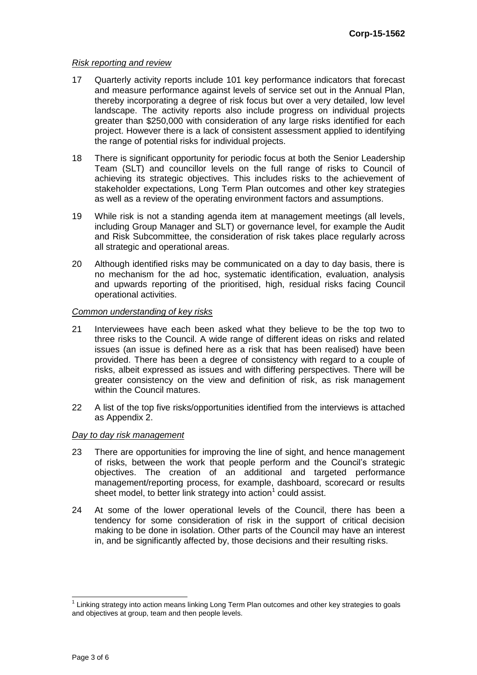#### *Risk reporting and review*

- 17 Quarterly activity reports include 101 key performance indicators that forecast and measure performance against levels of service set out in the Annual Plan, thereby incorporating a degree of risk focus but over a very detailed, low level landscape. The activity reports also include progress on individual projects greater than \$250,000 with consideration of any large risks identified for each project. However there is a lack of consistent assessment applied to identifying the range of potential risks for individual projects.
- 18 There is significant opportunity for periodic focus at both the Senior Leadership Team (SLT) and councillor levels on the full range of risks to Council of achieving its strategic objectives. This includes risks to the achievement of stakeholder expectations, Long Term Plan outcomes and other key strategies as well as a review of the operating environment factors and assumptions.
- 19 While risk is not a standing agenda item at management meetings (all levels, including Group Manager and SLT) or governance level, for example the Audit and Risk Subcommittee, the consideration of risk takes place regularly across all strategic and operational areas.
- 20 Although identified risks may be communicated on a day to day basis, there is no mechanism for the ad hoc, systematic identification, evaluation, analysis and upwards reporting of the prioritised, high, residual risks facing Council operational activities.

#### *Common understanding of key risks*

- 21 Interviewees have each been asked what they believe to be the top two to three risks to the Council. A wide range of different ideas on risks and related issues (an issue is defined here as a risk that has been realised) have been provided. There has been a degree of consistency with regard to a couple of risks, albeit expressed as issues and with differing perspectives. There will be greater consistency on the view and definition of risk, as risk management within the Council matures.
- 22 A list of the top five risks/opportunities identified from the interviews is attached as Appendix 2.

## *Day to day risk management*

- 23 There are opportunities for improving the line of sight, and hence management of risks, between the work that people perform and the Council's strategic objectives. The creation of an additional and targeted performance management/reporting process, for example, dashboard, scorecard or results sheet model, to better link strategy into action<sup>1</sup> could assist.
- 24 At some of the lower operational levels of the Council, there has been a tendency for some consideration of risk in the support of critical decision making to be done in isolation. Other parts of the Council may have an interest in, and be significantly affected by, those decisions and their resulting risks.

 $\overline{\phantom{a}}$ 

<sup>&</sup>lt;sup>1</sup> Linking strategy into action means linking Long Term Plan outcomes and other key strategies to goals and objectives at group, team and then people levels.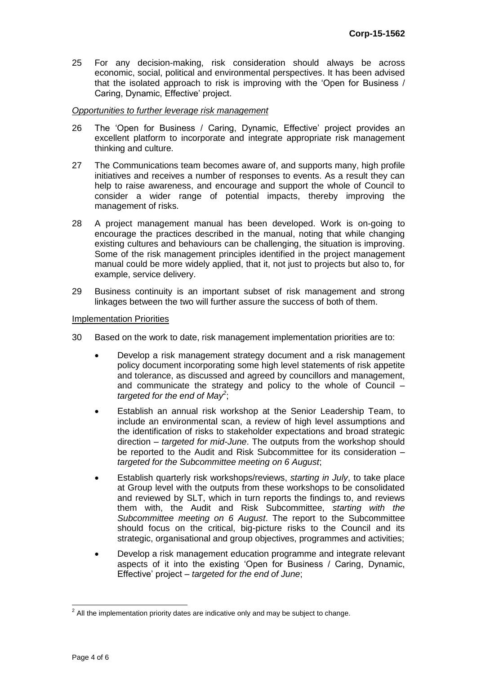25 For any decision-making, risk consideration should always be across economic, social, political and environmental perspectives. It has been advised that the isolated approach to risk is improving with the 'Open for Business / Caring, Dynamic, Effective' project.

#### *Opportunities to further leverage risk management*

- 26 The 'Open for Business / Caring, Dynamic, Effective' project provides an excellent platform to incorporate and integrate appropriate risk management thinking and culture.
- 27 The Communications team becomes aware of, and supports many, high profile initiatives and receives a number of responses to events. As a result they can help to raise awareness, and encourage and support the whole of Council to consider a wider range of potential impacts, thereby improving the management of risks.
- 28 A project management manual has been developed. Work is on-going to encourage the practices described in the manual, noting that while changing existing cultures and behaviours can be challenging, the situation is improving. Some of the risk management principles identified in the project management manual could be more widely applied, that it, not just to projects but also to, for example, service delivery.
- 29 Business continuity is an important subset of risk management and strong linkages between the two will further assure the success of both of them.

#### Implementation Priorities

- 30 Based on the work to date, risk management implementation priorities are to:
	- Develop a risk management strategy document and a risk management policy document incorporating some high level statements of risk appetite and tolerance, as discussed and agreed by councillors and management, and communicate the strategy and policy to the whole of Council – *targeted for the end of May<sup>2</sup>* ;
	- Establish an annual risk workshop at the Senior Leadership Team, to include an environmental scan, a review of high level assumptions and the identification of risks to stakeholder expectations and broad strategic direction – *targeted for mid-June*. The outputs from the workshop should be reported to the Audit and Risk Subcommittee for its consideration – *targeted for the Subcommittee meeting on 6 August*;
	- Establish quarterly risk workshops/reviews, *starting in July*, to take place at Group level with the outputs from these workshops to be consolidated and reviewed by SLT, which in turn reports the findings to, and reviews them with, the Audit and Risk Subcommittee, *starting with the Subcommittee meeting on 6 August*. The report to the Subcommittee should focus on the critical, big-picture risks to the Council and its strategic, organisational and group objectives, programmes and activities;
	- Develop a risk management education programme and integrate relevant aspects of it into the existing 'Open for Business / Caring, Dynamic, Effective' project – *targeted for the end of June*;

<sup>&</sup>lt;sup>2</sup> All the implementation priority dates are indicative only and may be subject to change.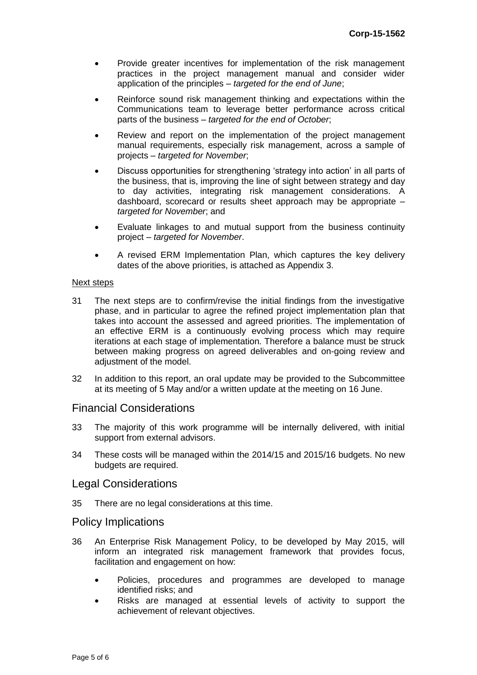- Provide greater incentives for implementation of the risk management practices in the project management manual and consider wider application of the principles – *targeted for the end of June*;
- Reinforce sound risk management thinking and expectations within the Communications team to leverage better performance across critical parts of the business – *targeted for the end of October*;
- Review and report on the implementation of the project management manual requirements, especially risk management, across a sample of projects – *targeted for November*;
- Discuss opportunities for strengthening 'strategy into action' in all parts of the business, that is, improving the line of sight between strategy and day to day activities, integrating risk management considerations. A dashboard, scorecard or results sheet approach may be appropriate *– targeted for November*; and
- Evaluate linkages to and mutual support from the business continuity project – *targeted for November*.
- A revised ERM Implementation Plan, which captures the key delivery dates of the above priorities, is attached as Appendix 3.

#### Next steps

- 31 The next steps are to confirm/revise the initial findings from the investigative phase, and in particular to agree the refined project implementation plan that takes into account the assessed and agreed priorities. The implementation of an effective ERM is a continuously evolving process which may require iterations at each stage of implementation. Therefore a balance must be struck between making progress on agreed deliverables and on-going review and adjustment of the model.
- 32 In addition to this report, an oral update may be provided to the Subcommittee at its meeting of 5 May and/or a written update at the meeting on 16 June.

## Financial Considerations

- 33 The majority of this work programme will be internally delivered, with initial support from external advisors.
- 34 These costs will be managed within the 2014/15 and 2015/16 budgets. No new budgets are required.

## Legal Considerations

35 There are no legal considerations at this time.

## Policy Implications

- 36 An Enterprise Risk Management Policy, to be developed by May 2015, will inform an integrated risk management framework that provides focus, facilitation and engagement on how:
	- Policies, procedures and programmes are developed to manage identified risks; and
	- Risks are managed at essential levels of activity to support the achievement of relevant objectives.